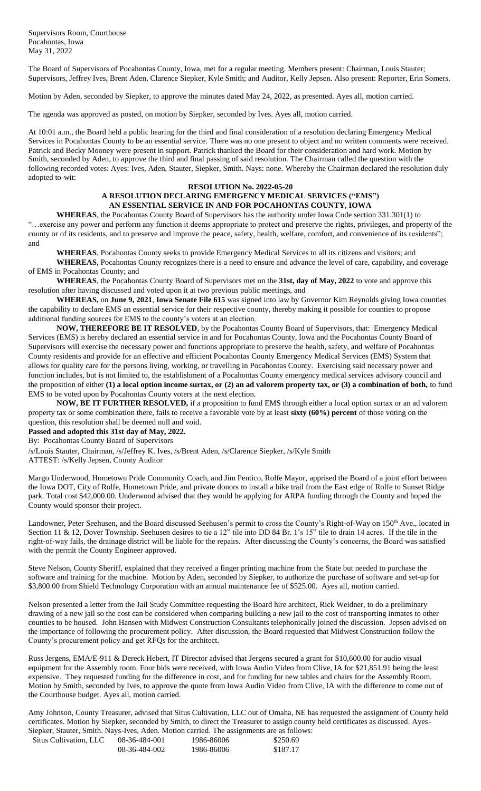Supervisors Room, Courthouse Pocahontas, Iowa May 31, 2022

The Board of Supervisors of Pocahontas County, Iowa, met for a regular meeting. Members present: Chairman, Louis Stauter; Supervisors, Jeffrey Ives, Brent Aden, Clarence Siepker, Kyle Smith; and Auditor, Kelly Jepsen. Also present: Reporter, Erin Somers.

Motion by Aden, seconded by Siepker, to approve the minutes dated May 24, 2022, as presented. Ayes all, motion carried.

The agenda was approved as posted, on motion by Siepker, seconded by Ives. Ayes all, motion carried.

At 10:01 a.m., the Board held a public hearing for the third and final consideration of a resolution declaring Emergency Medical Services in Pocahontas County to be an essential service. There was no one present to object and no written comments were received. Patrick and Becky Mooney were present in support. Patrick thanked the Board for their consideration and hard work. Motion by Smith, seconded by Aden, to approve the third and final passing of said resolution. The Chairman called the question with the following recorded votes: Ayes: Ives, Aden, Stauter, Siepker, Smith. Nays: none. Whereby the Chairman declared the resolution duly adopted to-wit:

## **RESOLUTION No. 2022-05-20**

## **A RESOLUTION DECLARING EMERGENCY MEDICAL SERVICES ("EMS") AN ESSENTIAL SERVICE IN AND FOR POCAHONTAS COUNTY, IOWA**

**WHEREAS**, the Pocahontas County Board of Supervisors has the authority under Iowa Code section 331.301(1) to "…exercise any power and perform any function it deems appropriate to protect and preserve the rights, privileges, and property of the county or of its residents, and to preserve and improve the peace, safety, health, welfare, comfort, and convenience of its residents"; and

**WHEREAS**, Pocahontas County seeks to provide Emergency Medical Services to all its citizens and visitors; and

**WHEREAS**, Pocahontas County recognizes there is a need to ensure and advance the level of care, capability, and coverage of EMS in Pocahontas County; and

**WHEREAS**, the Pocahontas County Board of Supervisors met on the **31st, day of May, 2022** to vote and approve this resolution after having discussed and voted upon it at two previous public meetings, and

**WHEREAS,** on **June 9, 2021**, **Iowa Senate File 615** was signed into law by Governor Kim Reynolds giving Iowa counties the capability to declare EMS an essential service for their respective county, thereby making it possible for counties to propose additional funding sources for EMS to the county's voters at an election.

**NOW, THEREFORE BE IT RESOLVED**, by the Pocahontas County Board of Supervisors, that: Emergency Medical Services (EMS) is hereby declared an essential service in and for Pocahontas County, Iowa and the Pocahontas County Board of Supervisors will exercise the necessary power and functions appropriate to preserve the health, safety, and welfare of Pocahontas County residents and provide for an effective and efficient Pocahontas County Emergency Medical Services (EMS) System that allows for quality care for the persons living, working, or travelling in Pocahontas County. Exercising said necessary power and function includes, but is not limited to, the establishment of a Pocahontas County emergency medical services advisory council and the proposition of either **(1) a local option income surtax, or (2) an ad valorem property tax, or (3) a combination of both,** to fund EMS to be voted upon by Pocahontas County voters at the next election.

**NOW, BE IT FURTHER RESOLVED,** if a proposition to fund EMS through either a local option surtax or an ad valorem property tax or some combination there, fails to receive a favorable vote by at least **sixty (60%) percent** of those voting on the question, this resolution shall be deemed null and void.

**Passed and adopted this 31st day of May, 2022.**

By: Pocahontas County Board of Supervisors

/s/Louis Stauter, Chairman, /s/Jeffrey K. Ives, /s/Brent Aden, /s/Clarence Siepker, /s/Kyle Smith ATTEST: /s/Kelly Jepsen, County Auditor

Margo Underwood, Hometown Pride Community Coach, and Jim Pentico, Rolfe Mayor, apprised the Board of a joint effort between the Iowa DOT, City of Rolfe, Hometown Pride, and private donors to install a bike trail from the East edge of Rolfe to Sunset Ridge park. Total cost \$42,000.00. Underwood advised that they would be applying for ARPA funding through the County and hoped the County would sponsor their project.

Landowner, Peter Seehusen, and the Board discussed Seehusen's permit to cross the County's Right-of-Way on 150<sup>th</sup> Ave., located in Section 11 & 12, Dover Township. Seehusen desires to tie a 12" tile into DD 84 Br. 1's 15" tile to drain 14 acres. If the tile in the right-of-way fails, the drainage district will be liable for the repairs. After discussing the County's concerns, the Board was satisfied with the permit the County Engineer approved.

Steve Nelson, County Sheriff, explained that they received a finger printing machine from the State but needed to purchase the software and training for the machine. Motion by Aden, seconded by Siepker, to authorize the purchase of software and set-up for \$3,800.00 from Shield Technology Corporation with an annual maintenance fee of \$525.00. Ayes all, motion carried.

Nelson presented a letter from the Jail Study Committee requesting the Board hire architect, Rick Weidner, to do a preliminary drawing of a new jail so the cost can be considered when comparing building a new jail to the cost of transporting inmates to other counties to be housed. John Hansen with Midwest Construction Consultants telephonically joined the discussion. Jepsen advised on the importance of following the procurement policy. After discussion, the Board requested that Midwest Construction follow the County's procurement policy and get RFQs for the architect.

Russ Jergens, EMA/E-911 & Dereck Hebert, IT Director advised that Jergens secured a grant for \$10,600.00 for audio visual equipment for the Assembly room. Four bids were received, with Iowa Audio Video from Clive, IA for \$21,851.91 being the least expensive. They requested funding for the difference in cost, and for funding for new tables and chairs for the Assembly Room. Motion by Smith, seconded by Ives, to approve the quote from Iowa Audio Video from Clive, IA with the difference to come out of the Courthouse budget. Ayes all, motion carried.

Amy Johnson, County Treasurer, advised that Situs Cultivation, LLC out of Omaha, NE has requested the assignment of County held certificates. Motion by Siepker, seconded by Smith, to direct the Treasurer to assign county held certificates as discussed. Ayes-Siepker, Stauter, Smith. Nays-Ives, Aden. Motion carried. The assignments are as follows:

| Situs Cultivation, LLC | 08-36-484-001 | 1986-86006 | \$250.69 |
|------------------------|---------------|------------|----------|
|                        | 08-36-484-002 | 1986-86006 | \$187.17 |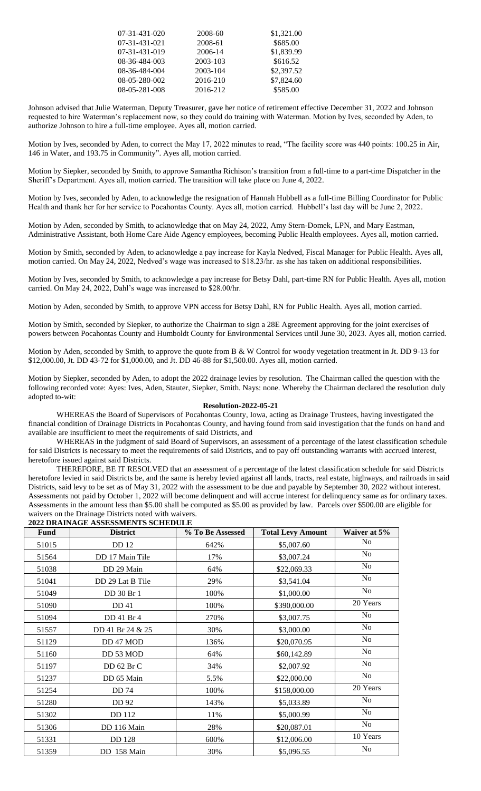| 07-31-431-020 | 2008-60  | \$1,321.00 |
|---------------|----------|------------|
| 07-31-431-021 | 2008-61  | \$685.00   |
| 07-31-431-019 | 2006-14  | \$1,839.99 |
| 08-36-484-003 | 2003-103 | \$616.52   |
| 08-36-484-004 | 2003-104 | \$2,397.52 |
| 08-05-280-002 | 2016-210 | \$7,824.60 |
| 08-05-281-008 | 2016-212 | \$585.00   |

Johnson advised that Julie Waterman, Deputy Treasurer, gave her notice of retirement effective December 31, 2022 and Johnson requested to hire Waterman's replacement now, so they could do training with Waterman. Motion by Ives, seconded by Aden, to authorize Johnson to hire a full-time employee. Ayes all, motion carried.

Motion by Ives, seconded by Aden, to correct the May 17, 2022 minutes to read, "The facility score was 440 points: 100.25 in Air, 146 in Water, and 193.75 in Community". Ayes all, motion carried.

Motion by Siepker, seconded by Smith, to approve Samantha Richison's transition from a full-time to a part-time Dispatcher in the Sheriff's Department. Ayes all, motion carried. The transition will take place on June 4, 2022.

Motion by Ives, seconded by Aden, to acknowledge the resignation of Hannah Hubbell as a full-time Billing Coordinator for Public Health and thank her for her service to Pocahontas County. Ayes all, motion carried. Hubbell's last day will be June 2, 2022.

Motion by Aden, seconded by Smith, to acknowledge that on May 24, 2022, Amy Stern-Domek, LPN, and Mary Eastman, Administrative Assistant, both Home Care Aide Agency employees, becoming Public Health employees. Ayes all, motion carried.

Motion by Smith, seconded by Aden, to acknowledge a pay increase for Kayla Nedved, Fiscal Manager for Public Health. Ayes all, motion carried. On May 24, 2022, Nedved's wage was increased to \$18.23/hr. as she has taken on additional responsibilities.

Motion by Ives, seconded by Smith, to acknowledge a pay increase for Betsy Dahl, part-time RN for Public Health. Ayes all, motion carried. On May 24, 2022, Dahl's wage was increased to \$28.00/hr.

Motion by Aden, seconded by Smith, to approve VPN access for Betsy Dahl, RN for Public Health. Ayes all, motion carried.

Motion by Smith, seconded by Siepker, to authorize the Chairman to sign a 28E Agreement approving for the joint exercises of powers between Pocahontas County and Humboldt County for Environmental Services until June 30, 2023. Ayes all, motion carried.

Motion by Aden, seconded by Smith, to approve the quote from B & W Control for woody vegetation treatment in Jt. DD 9-13 for \$12,000.00, Jt. DD 43-72 for \$1,000.00, and Jt. DD 46-88 for \$1,500.00. Ayes all, motion carried.

Motion by Siepker, seconded by Aden, to adopt the 2022 drainage levies by resolution. The Chairman called the question with the following recorded vote: Ayes: Ives, Aden, Stauter, Siepker, Smith. Nays: none. Whereby the Chairman declared the resolution duly adopted to-wit:

## **Resolution-2022-05-21**

WHEREAS the Board of Supervisors of Pocahontas County, Iowa, acting as Drainage Trustees, having investigated the financial condition of Drainage Districts in Pocahontas County, and having found from said investigation that the funds on hand and available are insufficient to meet the requirements of said Districts, and

WHEREAS in the judgment of said Board of Supervisors, an assessment of a percentage of the latest classification schedule for said Districts is necessary to meet the requirements of said Districts, and to pay off outstanding warrants with accrued interest, heretofore issued against said Districts.

THEREFORE, BE IT RESOLVED that an assessment of a percentage of the latest classification schedule for said Districts heretofore levied in said Districts be, and the same is hereby levied against all lands, tracts, real estate, highways, and railroads in said Districts, said levy to be set as of May 31, 2022 with the assessment to be due and payable by September 30, 2022 without interest. Assessments not paid by October 1, 2022 will become delinquent and will accrue interest for delinquency same as for ordinary taxes. Assessments in the amount less than \$5.00 shall be computed as \$5.00 as provided by law. Parcels over \$500.00 are eligible for waivers on the Drainage Districts noted with waivers.

## **2022 DRAINAGE ASSESSMENTS SCHEDULE**

| 022 DIWIII WIQD MOODOOMIEN ID OCHIED CHE |                  |                  |                          |                |
|------------------------------------------|------------------|------------------|--------------------------|----------------|
| <b>Fund</b>                              | <b>District</b>  | % To Be Assessed | <b>Total Levy Amount</b> | Waiver at 5%   |
| 51015                                    | <b>DD</b> 12     | 642%             | \$5,007.60               | N <sub>o</sub> |
| 51564                                    | DD 17 Main Tile  | 17%              | \$3,007.24               | N <sub>o</sub> |
| 51038                                    | DD 29 Main       | 64%              | \$22,069.33              | N <sub>0</sub> |
| 51041                                    | DD 29 Lat B Tile | 29%              | \$3,541.04               | N <sub>o</sub> |
| 51049                                    | DD 30 Br 1       | 100%             | \$1,000.00               | N <sub>o</sub> |
| 51090                                    | DD 41            | 100%             | \$390,000.00             | 20 Years       |
| 51094                                    | DD 41 Br 4       | 270%             | \$3,007.75               | N <sub>o</sub> |
| 51557                                    | DD 41 Br 24 & 25 | 30%              | \$3,000.00               | N <sub>0</sub> |
| 51129                                    | DD 47 MOD        | 136%             | \$20,070.95              | N <sub>o</sub> |
| 51160                                    | DD 53 MOD        | 64%              | \$60,142.89              | N <sub>o</sub> |
| 51197                                    | DD 62 Br C       | 34%              | \$2,007.92               | N <sub>o</sub> |
| 51237                                    | DD 65 Main       | 5.5%             | \$22,000.00              | N <sub>o</sub> |
| 51254                                    | <b>DD74</b>      | 100%             | \$158,000.00             | 20 Years       |
| 51280                                    | DD 92            | 143%             | \$5,033.89               | N <sub>o</sub> |
| 51302                                    | DD 112           | 11%              | \$5,000.99               | N <sub>o</sub> |
| 51306                                    | DD 116 Main      | 28%              | \$20,087.01              | N <sub>o</sub> |
| 51331                                    | <b>DD</b> 128    | 600%             | \$12,006.00              | 10 Years       |
| 51359                                    | DD 158 Main      | 30%              | \$5,096.55               | N <sub>0</sub> |